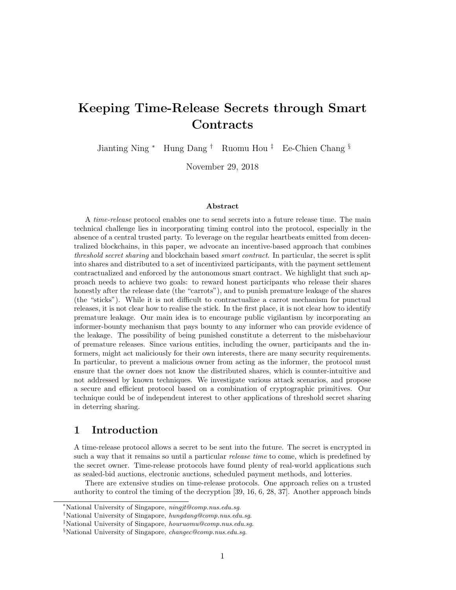# Keeping Time-Release Secrets through Smart **Contracts**

Jianting Ning <sup>∗</sup> Hung Dang † Ruomu Hou ‡ Ee-Chien Chang §

November 29, 2018

#### Abstract

A time-release protocol enables one to send secrets into a future release time. The main technical challenge lies in incorporating timing control into the protocol, especially in the absence of a central trusted party. To leverage on the regular heartbeats emitted from decentralized blockchains, in this paper, we advocate an incentive-based approach that combines threshold secret sharing and blockchain based smart contract. In particular, the secret is split into shares and distributed to a set of incentivized participants, with the payment settlement contractualized and enforced by the autonomous smart contract. We highlight that such approach needs to achieve two goals: to reward honest participants who release their shares honestly after the release date (the "carrots"), and to punish premature leakage of the shares (the "sticks"). While it is not difficult to contractualize a carrot mechanism for punctual releases, it is not clear how to realise the stick. In the first place, it is not clear how to identify premature leakage. Our main idea is to encourage public vigilantism by incorporating an informer-bounty mechanism that pays bounty to any informer who can provide evidence of the leakage. The possibility of being punished constitute a deterrent to the misbehaviour of premature releases. Since various entities, including the owner, participants and the informers, might act maliciously for their own interests, there are many security requirements. In particular, to prevent a malicious owner from acting as the informer, the protocol must ensure that the owner does not know the distributed shares, which is counter-intuitive and not addressed by known techniques. We investigate various attack scenarios, and propose a secure and efficient protocol based on a combination of cryptographic primitives. Our technique could be of independent interest to other applications of threshold secret sharing in deterring sharing.

# 1 Introduction

A time-release protocol allows a secret to be sent into the future. The secret is encrypted in such a way that it remains so until a particular *release time* to come, which is predefined by the secret owner. Time-release protocols have found plenty of real-world applications such as sealed-bid auctions, electronic auctions, scheduled payment methods, and lotteries.

There are extensive studies on time-release protocols. One approach relies on a trusted authority to control the timing of the decryption [39, 16, 6, 28, 37]. Another approach binds

<sup>∗</sup>National University of Singapore, ningjt@comp.nus.edu.sg.

<sup>†</sup>National University of Singapore, hungdang@comp.nus.edu.sg.

<sup>‡</sup>National University of Singapore, houruomu@comp.nus.edu.sg.

<sup>§</sup>National University of Singapore, changec@comp.nus.edu.sg.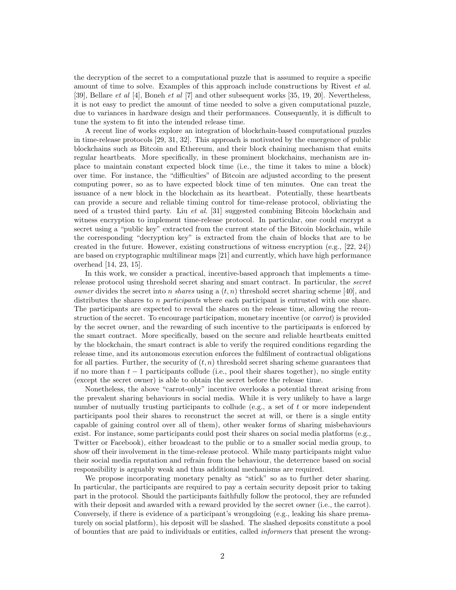the decryption of the secret to a computational puzzle that is assumed to require a specific amount of time to solve. Examples of this approach include constructions by Rivest et al. [39], Bellare et al [4], Boneh et al [7] and other subsequent works [35, 19, 20]. Nevertheless, it is not easy to predict the amount of time needed to solve a given computational puzzle, due to variances in hardware design and their performances. Consequently, it is difficult to tune the system to fit into the intended release time.

A recent line of works explore an integration of blockchain-based computational puzzles in time-release protocols [29, 31, 32]. This approach is motivated by the emergence of public blockchains such as Bitcoin and Ethereum, and their block chaining mechanism that emits regular heartbeats. More specifically, in these prominent blockchains, mechanism are inplace to maintain constant expected block time (i.e., the time it takes to mine a block) over time. For instance, the "difficulties" of Bitcoin are adjusted according to the present computing power, so as to have expected block time of ten minutes. One can treat the issuance of a new block in the blockchain as its heartbeat. Potentially, these heartbeats can provide a secure and reliable timing control for time-release protocol, obliviating the need of a trusted third party. Liu et al. [31] suggested combining Bitcoin blockchain and witness encryption to implement time-release protocol. In particular, one could encrypt a secret using a "public key" extracted from the current state of the Bitcoin blockchain, while the corresponding "decryption key" is extracted from the chain of blocks that are to be created in the future. However, existing constructions of witness encryption (e.g., [22, 24]) are based on cryptographic multilinear maps [21] and currently, which have high performance overhead [14, 23, 15].

In this work, we consider a practical, incentive-based approach that implements a timerelease protocol using threshold secret sharing and smart contract. In particular, the secret *owner* divides the secret into *n shares* using a  $(t, n)$  threshold secret sharing scheme [40], and distributes the shares to n participants where each participant is entrusted with one share. The participants are expected to reveal the shares on the release time, allowing the reconstruction of the secret. To encourage participation, monetary incentive (or carrot) is provided by the secret owner, and the rewarding of such incentive to the participants is enforced by the smart contract. More specifically, based on the secure and reliable heartbeats emitted by the blockchain, the smart contract is able to verify the required conditions regarding the release time, and its autonomous execution enforces the fulfilment of contractual obligations for all parties. Further, the security of  $(t, n)$  threshold secret sharing scheme guarantees that if no more than  $t-1$  participants collude (i.e., pool their shares together), no single entity (except the secret owner) is able to obtain the secret before the release time.

Nonetheless, the above "carrot-only" incentive overlooks a potential threat arising from the prevalent sharing behaviours in social media. While it is very unlikely to have a large number of mutually trusting participants to collude (e.g., a set of  $t$  or more independent participants pool their shares to reconstruct the secret at will, or there is a single entity capable of gaining control over all of them), other weaker forms of sharing misbehaviours exist. For instance, some participants could post their shares on social media platforms (e.g., Twitter or Facebook), either broadcast to the public or to a smaller social media group, to show off their involvement in the time-release protocol. While many participants might value their social media reputation and refrain from the behaviour, the deterrence based on social responsibility is arguably weak and thus additional mechanisms are required.

We propose incorporating monetary penalty as "stick" so as to further deter sharing. In particular, the participants are required to pay a certain security deposit prior to taking part in the protocol. Should the participants faithfully follow the protocol, they are refunded with their deposit and awarded with a reward provided by the secret owner (i.e., the carrot). Conversely, if there is evidence of a participant's wrongdoing (e.g., leaking his share prematurely on social platform), his deposit will be slashed. The slashed deposits constitute a pool of bounties that are paid to individuals or entities, called informers that present the wrong-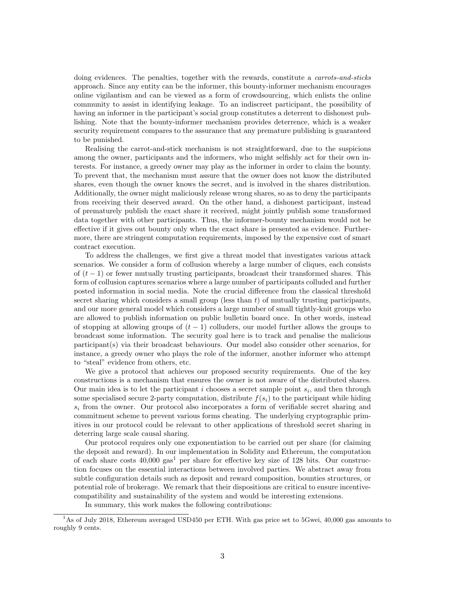doing evidences. The penalties, together with the rewards, constitute a *carrots-and-sticks* approach. Since any entity can be the informer, this bounty-informer mechanism encourages online vigilantism and can be viewed as a form of crowdsourcing, which enlists the online community to assist in identifying leakage. To an indiscreet participant, the possibility of having an informer in the participant's social group constitutes a deterrent to dishonest publishing. Note that the bounty-informer mechanism provides deterrence, which is a weaker security requirement compares to the assurance that any premature publishing is guaranteed to be punished.

Realising the carrot-and-stick mechanism is not straightforward, due to the suspicions among the owner, participants and the informers, who might selfishly act for their own interests. For instance, a greedy owner may play as the informer in order to claim the bounty. To prevent that, the mechanism must assure that the owner does not know the distributed shares, even though the owner knows the secret, and is involved in the shares distribution. Additionally, the owner might maliciously release wrong shares, so as to deny the participants from receiving their deserved award. On the other hand, a dishonest participant, instead of prematurely publish the exact share it received, might jointly publish some transformed data together with other participants. Thus, the informer-bounty mechanism would not be effective if it gives out bounty only when the exact share is presented as evidence. Furthermore, there are stringent computation requirements, imposed by the expensive cost of smart contract execution.

To address the challenges, we first give a threat model that investigates various attack scenarios. We consider a form of collusion whereby a large number of cliques, each consists of  $(t-1)$  or fewer mutually trusting participants, broadcast their transformed shares. This form of collusion captures scenarios where a large number of participants colluded and further posted information in social media. Note the crucial difference from the classical threshold secret sharing which considers a small group (less than  $t$ ) of mutually trusting participants, and our more general model which considers a large number of small tightly-knit groups who are allowed to publish information on public bulletin board once. In other words, instead of stopping at allowing groups of  $(t - 1)$  colluders, our model further allows the groups to broadcast some information. The security goal here is to track and penalise the malicious participant(s) via their broadcast behaviours. Our model also consider other scenarios, for instance, a greedy owner who plays the role of the informer, another informer who attempt to "steal" evidence from others, etc.

We give a protocol that achieves our proposed security requirements. One of the key constructions is a mechanism that ensures the owner is not aware of the distributed shares. Our main idea is to let the participant  $i$  chooses a secret sample point  $s_i$ , and then through some specialised secure 2-party computation, distribute  $f(s_i)$  to the participant while hiding  $s_i$  from the owner. Our protocol also incorporates a form of verifiable secret sharing and commitment scheme to prevent various forms cheating. The underlying cryptographic primitives in our protocol could be relevant to other applications of threshold secret sharing in deterring large scale causal sharing.

Our protocol requires only one exponentiation to be carried out per share (for claiming the deposit and reward). In our implementation in Solidity and Ethereum, the computation of each share costs  $40,000$  gas<sup>1</sup> per share for effective key size of 128 bits. Our construction focuses on the essential interactions between involved parties. We abstract away from subtle configuration details such as deposit and reward composition, bounties structures, or potential role of brokerage. We remark that their dispositions are critical to ensure incentivecompatibility and sustainability of the system and would be interesting extensions.

In summary, this work makes the following contributions:

<sup>&</sup>lt;sup>1</sup>As of July 2018, Ethereum averaged USD450 per ETH. With gas price set to 5Gwei, 40,000 gas amounts to roughly 9 cents.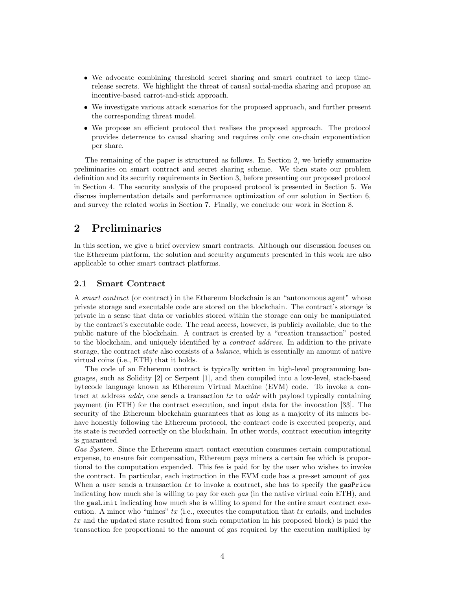- We advocate combining threshold secret sharing and smart contract to keep timerelease secrets. We highlight the threat of causal social-media sharing and propose an incentive-based carrot-and-stick approach.
- We investigate various attack scenarios for the proposed approach, and further present the corresponding threat model.
- We propose an efficient protocol that realises the proposed approach. The protocol provides deterrence to causal sharing and requires only one on-chain exponentiation per share.

The remaining of the paper is structured as follows. In Section 2, we briefly summarize preliminaries on smart contract and secret sharing scheme. We then state our problem definition and its security requirements in Section 3, before presenting our proposed protocol in Section 4. The security analysis of the proposed protocol is presented in Section 5. We discuss implementation details and performance optimization of our solution in Section 6, and survey the related works in Section 7. Finally, we conclude our work in Section 8.

# 2 Preliminaries

In this section, we give a brief overview smart contracts. Although our discussion focuses on the Ethereum platform, the solution and security arguments presented in this work are also applicable to other smart contract platforms.

## 2.1 Smart Contract

A smart contract (or contract) in the Ethereum blockchain is an "autonomous agent" whose private storage and executable code are stored on the blockchain. The contract's storage is private in a sense that data or variables stored within the storage can only be manipulated by the contract's executable code. The read access, however, is publicly available, due to the public nature of the blockchain. A contract is created by a "creation transaction" posted to the blockchain, and uniquely identified by a contract address. In addition to the private storage, the contract *state* also consists of a *balance*, which is essentially an amount of native virtual coins (i.e., ETH) that it holds.

The code of an Ethereum contract is typically written in high-level programming languages, such as Solidity [2] or Serpent [1], and then compiled into a low-level, stack-based bytecode language known as Ethereum Virtual Machine (EVM) code. To invoke a contract at address *addr*, one sends a transaction  $tx$  to *addr* with payload typically containing payment (in ETH) for the contract execution, and input data for the invocation [33]. The security of the Ethereum blockchain guarantees that as long as a majority of its miners behave honestly following the Ethereum protocol, the contract code is executed properly, and its state is recorded correctly on the blockchain. In other words, contract execution integrity is guaranteed.

Gas System. Since the Ethereum smart contact execution consumes certain computational expense, to ensure fair compensation, Ethereum pays miners a certain fee which is proportional to the computation expended. This fee is paid for by the user who wishes to invoke the contract. In particular, each instruction in the EVM code has a pre-set amount of gas. When a user sends a transaction  $tx$  to invoke a contract, she has to specify the gasPrice indicating how much she is willing to pay for each gas (in the native virtual coin ETH), and the gasLimit indicating how much she is willing to spend for the entire smart contract execution. A miner who "mines"  $tx$  (i.e., executes the computation that  $tx$  entails, and includes tx and the updated state resulted from such computation in his proposed block) is paid the transaction fee proportional to the amount of gas required by the execution multiplied by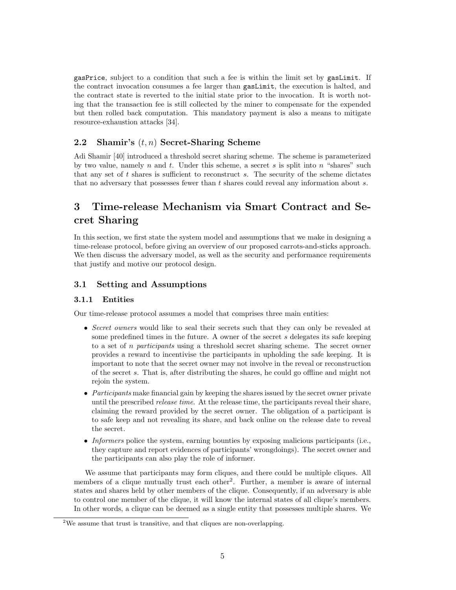gasPrice, subject to a condition that such a fee is within the limit set by gasLimit. If the contract invocation consumes a fee larger than gasLimit, the execution is halted, and the contract state is reverted to the initial state prior to the invocation. It is worth noting that the transaction fee is still collected by the miner to compensate for the expended but then rolled back computation. This mandatory payment is also a means to mitigate resource-exhaustion attacks [34].

# 2.2 Shamir's  $(t, n)$  Secret-Sharing Scheme

Adi Shamir [40] introduced a threshold secret sharing scheme. The scheme is parameterized by two value, namely n and t. Under this scheme, a secret s is split into n "shares" such that any set of t shares is sufficient to reconstruct s. The security of the scheme dictates that no adversary that possesses fewer than t shares could reveal any information about s.

# 3 Time-release Mechanism via Smart Contract and Secret Sharing

In this section, we first state the system model and assumptions that we make in designing a time-release protocol, before giving an overview of our proposed carrots-and-sticks approach. We then discuss the adversary model, as well as the security and performance requirements that justify and motive our protocol design.

# 3.1 Setting and Assumptions

# 3.1.1 Entities

Our time-release protocol assumes a model that comprises three main entities:

- Secret owners would like to seal their secrets such that they can only be revealed at some predefined times in the future. A owner of the secret s delegates its safe keeping to a set of n participants using a threshold secret sharing scheme. The secret owner provides a reward to incentivise the participants in upholding the safe keeping. It is important to note that the secret owner may not involve in the reveal or reconstruction of the secret s. That is, after distributing the shares, he could go offline and might not rejoin the system.
- Participants make financial gain by keeping the shares issued by the secret owner private until the prescribed *release time*. At the release time, the participants reveal their share, claiming the reward provided by the secret owner. The obligation of a participant is to safe keep and not revealing its share, and back online on the release date to reveal the secret.
- Informers police the system, earning bounties by exposing malicious participants (i.e., they capture and report evidences of participants' wrongdoings). The secret owner and the participants can also play the role of informer.

We assume that participants may form cliques, and there could be multiple cliques. All members of a clique mutually trust each other<sup>2</sup>. Further, a member is aware of internal states and shares held by other members of the clique. Consequently, if an adversary is able to control one member of the clique, it will know the internal states of all clique's members. In other words, a clique can be deemed as a single entity that possesses multiple shares. We

<sup>2</sup>We assume that trust is transitive, and that cliques are non-overlapping.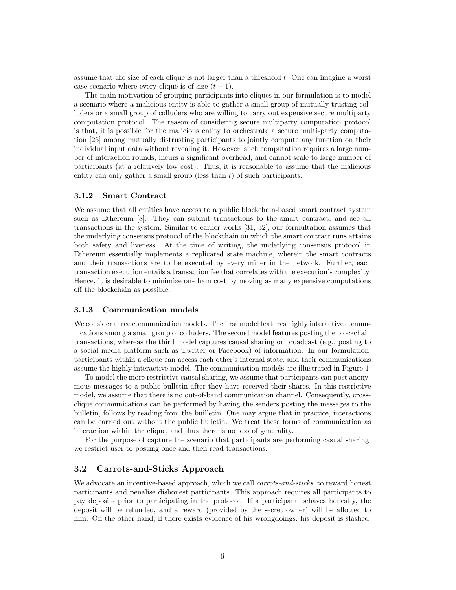assume that the size of each clique is not larger than a threshold  $t$ . One can imagine a worst case scenario where every clique is of size  $(t-1)$ .

The main motivation of grouping participants into cliques in our formulation is to model a scenario where a malicious entity is able to gather a small group of mutually trusting colluders or a small group of colluders who are willing to carry out expensive secure multiparty computation protocol. The reason of considering secure multiparty computation protocol is that, it is possible for the malicious entity to orchestrate a secure multi-party computation [26] among mutually distrusting participants to jointly compute any function on their individual input data without revealing it. However, such computation requires a large number of interaction rounds, incurs a significant overhead, and cannot scale to large number of participants (at a relatively low cost). Thus, it is reasonable to assume that the malicious entity can only gather a small group (less than  $t$ ) of such participants.

#### 3.1.2 Smart Contract

We assume that all entities have access to a public blockchain-based smart contract system such as Ethereum [8]. They can submit transactions to the smart contract, and see all transactions in the system. Similar to earlier works [31, 32], our formultation assumes that the underlying consensus protocol of the blockchain on which the smart contract runs attains both safety and liveness. At the time of writing, the underlying consensus protocol in Ethereum essentially implements a replicated state machine, wherein the smart contracts and their transactions are to be executed by every miner in the network. Further, each transaction execution entails a transaction fee that correlates with the execution's complexity. Hence, it is desirable to minimize on-chain cost by moving as many expensive computations off the blockchain as possible.

## 3.1.3 Communication models

We consider three communication models. The first model features highly interactive communications among a small group of colluders. The second model features posting the blockchain transactions, whereas the third model captures causal sharing or broadcast (e.g., posting to a social media platform such as Twitter or Facebook) of information. In our formulation, participants within a clique can access each other's internal state, and their communications assume the highly interactive model. The communication models are illustrated in Figure 1.

To model the more restrictive causal sharing, we assume that participants can post anonymous messages to a public bulletin after they have received their shares. In this restrictive model, we assume that there is no out-of-band communication channel. Consequently, crossclique communications can be performed by having the senders posting the messages to the bulletin, follows by reading from the builletin. One may argue that in practice, interactions can be carried out without the public bulletin. We treat these forms of communication as interaction within the clique, and thus there is no loss of generality.

For the purpose of capture the scenario that participants are performing casual sharing, we restrict user to posting once and then read transactions.

## 3.2 Carrots-and-Sticks Approach

We advocate an incentive-based approach, which we call *carrots-and-sticks*, to reward honest participants and penalise dishonest participants. This approach requires all participants to pay deposits prior to participating in the protocol. If a participant behaves honestly, the deposit will be refunded, and a reward (provided by the secret owner) will be allotted to him. On the other hand, if there exists evidence of his wrongdoings, his deposit is slashed.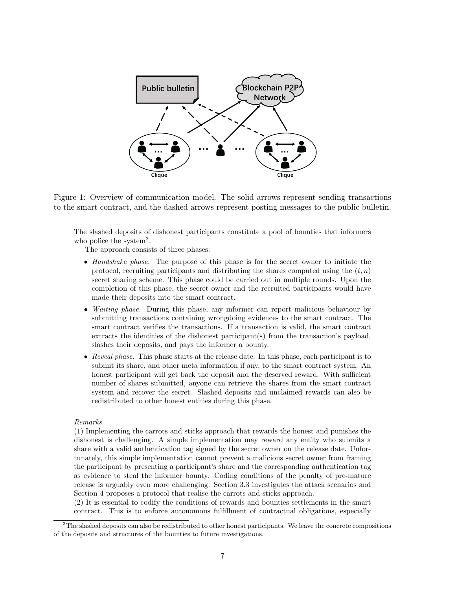

Figure 1: Overview of communication model. The solid arrows represent sending transactions to the smart contract, and the dashed arrows represent posting messages to the public bulletin.

The slashed deposits of dishonest participants constitute a pool of bounties that informers who police the system<sup>3</sup>.

The approach consists of three phases:

- Handshake phase. The purpose of this phase is for the secret owner to initiate the protocol, recruiting participants and distributing the shares computed using the  $(t, n)$ secret sharing scheme. This phase could be carried out in multiple rounds. Upon the completion of this phase, the secret owner and the recruited participants would have made their deposits into the smart contract.
- *Waiting phase.* During this phase, any informer can report malicious behaviour by submitting transactions containing wrongdoing evidences to the smart contract. The smart contract verifies the transactions. If a transaction is valid, the smart contract extracts the identities of the dishonest participant(s) from the transaction's payload, slashes their deposits, and pays the informer a bounty.
- Reveal phase. This phase starts at the release date. In this phase, each participant is to submit its share, and other meta information if any, to the smart contract system. An honest participant will get back the deposit and the deserved reward. With sufficient number of shares submitted, anyone can retrieve the shares from the smart contract system and recover the secret. Slashed deposits and unclaimed rewards can also be redistributed to other honest entities during this phase.

#### Remarks.

(1) Implementing the carrots and sticks approach that rewards the honest and punishes the dishonest is challenging. A simple implementation may reward any entity who submits a share with a valid authentication tag signed by the secret owner on the release date. Unfortunately, this simple implementation cannot prevent a malicious secret owner from framing the participant by presenting a participant's share and the corresponding authentication tag as evidence to steal the informer bounty. Coding conditions of the penalty of pre-mature release is arguably even more challenging. Section 3.3 investigates the attack scenarios and Section 4 proposes a protocol that realise the carrots and sticks approach.

(2) It is essential to codify the conditions of rewards and bounties settlements in the smart contract. This is to enforce autonomous fulfillment of contractual obligations, especially

 $3$ The slashed deposits can also be redistributed to other honest participants. We leave the concrete compositions of the deposits and structures of the bounties to future investigations.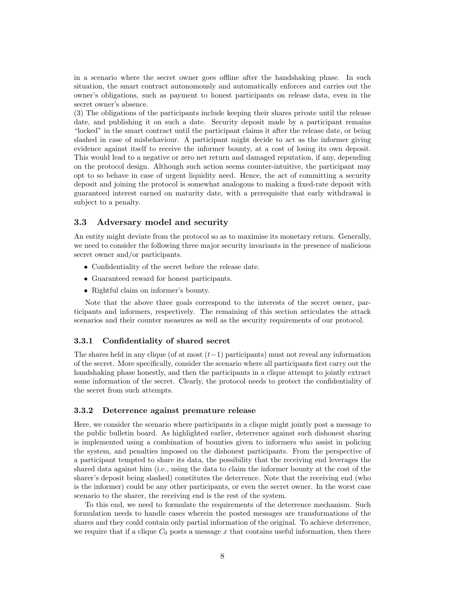in a scenario where the secret owner goes offline after the handshaking phase. In such situation, the smart contract autonomously and automatically enforces and carries out the owner's obligations, such as payment to honest participants on release data, even in the secret owner's absence.

(3) The obligations of the participants include keeping their shares private until the release date, and publishing it on such a date. Security deposit made by a participant remains "locked" in the smart contract until the participant claims it after the release date, or being slashed in case of misbehaviour. A participant might decide to act as the informer giving evidence against itself to receive the informer bounty, at a cost of losing its own deposit. This would lead to a negative or zero net return and damaged reputation, if any, depending on the protocol design. Although such action seems counter-intuitive, the participant may opt to so behave in case of urgent liquidity need. Hence, the act of committing a security deposit and joining the protocol is somewhat analogous to making a fixed-rate deposit with guaranteed interest earned on maturity date, with a prerequisite that early withdrawal is subject to a penalty.

#### 3.3 Adversary model and security

An entity might deviate from the protocol so as to maximise its monetary return. Generally, we need to consider the following three major security invariants in the presence of malicious secret owner and/or participants.

- Confidentiality of the secret before the release date.
- Guaranteed reward for honest participants.
- Rightful claim on informer's bounty.

Note that the above three goals correspond to the interests of the secret owner, participants and informers, respectively. The remaining of this section articulates the attack scenarios and their counter measures as well as the security requirements of our protocol.

#### 3.3.1 Confidentiality of shared secret

The shares held in any clique (of at most  $(t-1)$  participants) must not reveal any information of the secret. More specifically, consider the scenario where all participants first carry out the handshaking phase honestly, and then the participants in a clique attempt to jointly extract some information of the secret. Clearly, the protocol needs to protect the confidentiality of the secret from such attempts.

#### 3.3.2 Deterrence against premature release

Here, we consider the scenario where participants in a clique might jointly post a message to the public bulletin board. As highlighted earlier, deterrence against such dishonest sharing is implemented using a combination of bounties given to informers who assist in policing the system, and penalties imposed on the dishonest participants. From the perspective of a participant tempted to share its data, the possibility that the receiving end leverages the shared data against him (i.e., using the data to claim the informer bounty at the cost of the sharer's deposit being slashed) constitutes the deterrence. Note that the receiving end (who is the informer) could be any other participants, or even the secret owner. In the worst case scenario to the sharer, the receiving end is the rest of the system.

To this end, we need to formulate the requirements of the deterrence mechanism. Such formulation needs to handle cases wherein the posted messages are transformations of the shares and they could contain only partial information of the original. To achieve deterrence, we require that if a clique  $C_0$  posts a message x that contains useful information, then there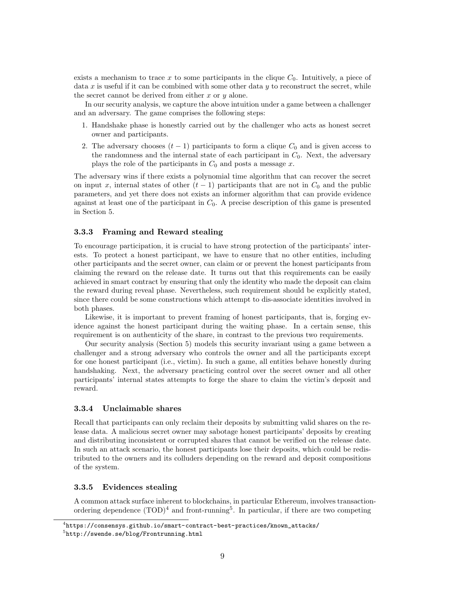exists a mechanism to trace x to some participants in the clique  $C_0$ . Intuitively, a piece of data  $x$  is useful if it can be combined with some other data  $y$  to reconstruct the secret, while the secret cannot be derived from either  $x$  or  $y$  alone.

In our security analysis, we capture the above intuition under a game between a challenger and an adversary. The game comprises the following steps:

- 1. Handshake phase is honestly carried out by the challenger who acts as honest secret owner and participants.
- 2. The adversary chooses  $(t-1)$  participants to form a clique  $C_0$  and is given access to the randomness and the internal state of each participant in  $C_0$ . Next, the adversary plays the role of the participants in  $C_0$  and posts a message x.

The adversary wins if there exists a polynomial time algorithm that can recover the secret on input x, internal states of other  $(t-1)$  participants that are not in  $C_0$  and the public parameters, and yet there does not exists an informer algorithm that can provide evidence against at least one of the participant in  $C_0$ . A precise description of this game is presented in Section 5.

#### 3.3.3 Framing and Reward stealing

To encourage participation, it is crucial to have strong protection of the participants' interests. To protect a honest participant, we have to ensure that no other entities, including other participants and the secret owner, can claim or or prevent the honest participants from claiming the reward on the release date. It turns out that this requirements can be easily achieved in smart contract by ensuring that only the identity who made the deposit can claim the reward during reveal phase. Nevertheless, such requirement should be explicitly stated, since there could be some constructions which attempt to dis-associate identities involved in both phases.

Likewise, it is important to prevent framing of honest participants, that is, forging evidence against the honest participant during the waiting phase. In a certain sense, this requirement is on authenticity of the share, in contrast to the previous two requirements.

Our security analysis (Section 5) models this security invariant using a game between a challenger and a strong adversary who controls the owner and all the participants except for one honest participant (i.e., victim). In such a game, all entities behave honestly during handshaking. Next, the adversary practicing control over the secret owner and all other participants' internal states attempts to forge the share to claim the victim's deposit and reward.

#### 3.3.4 Unclaimable shares

Recall that participants can only reclaim their deposits by submitting valid shares on the release data. A malicious secret owner may sabotage honest participants' deposits by creating and distributing inconsistent or corrupted shares that cannot be verified on the release date. In such an attack scenario, the honest participants lose their deposits, which could be redistributed to the owners and its colluders depending on the reward and deposit compositions of the system.

#### 3.3.5 Evidences stealing

A common attack surface inherent to blockchains, in particular Ethereum, involves transactionordering dependence  $(TOD)^4$  and front-running<sup>5</sup>. In particular, if there are two competing

 $^4$ https://consensys.github.io/smart-contract-best-practices/known\_attacks/

 $^{5}$ http://swende.se/blog/Frontrunning.html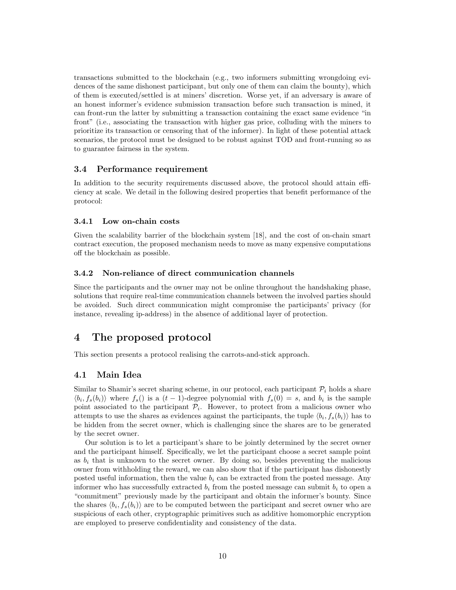transactions submitted to the blockchain (e.g., two informers submitting wrongdoing evidences of the same dishonest participant, but only one of them can claim the bounty), which of them is executed/settled is at miners' discretion. Worse yet, if an adversary is aware of an honest informer's evidence submission transaction before such transaction is mined, it can front-run the latter by submitting a transaction containing the exact same evidence "in front" (i.e., associating the transaction with higher gas price, colluding with the miners to prioritize its transaction or censoring that of the informer). In light of these potential attack scenarios, the protocol must be designed to be robust against TOD and front-running so as to guarantee fairness in the system.

## 3.4 Performance requirement

In addition to the security requirements discussed above, the protocol should attain efficiency at scale. We detail in the following desired properties that benefit performance of the protocol:

#### 3.4.1 Low on-chain costs

Given the scalability barrier of the blockchain system [18], and the cost of on-chain smart contract execution, the proposed mechanism needs to move as many expensive computations off the blockchain as possible.

#### 3.4.2 Non-reliance of direct communication channels

Since the participants and the owner may not be online throughout the handshaking phase, solutions that require real-time communication channels between the involved parties should be avoided. Such direct communication might compromise the participants' privacy (for instance, revealing ip-address) in the absence of additional layer of protection.

# 4 The proposed protocol

This section presents a protocol realising the carrots-and-stick approach.

# 4.1 Main Idea

Similar to Shamir's secret sharing scheme, in our protocol, each participant  $\mathcal{P}_i$  holds a share  $\langle b_i, f_s(b_i) \rangle$  where  $f_s()$  is a  $(t-1)$ -degree polynomial with  $f_s(0) = s$ , and  $b_i$  is the sample point associated to the participant  $\mathcal{P}_i$ . However, to protect from a malicious owner who attempts to use the shares as evidences against the participants, the tuple  $\langle b_i, f_s(b_i) \rangle$  has to be hidden from the secret owner, which is challenging since the shares are to be generated by the secret owner.

Our solution is to let a participant's share to be jointly determined by the secret owner and the participant himself. Specifically, we let the participant choose a secret sample point as  $b_i$  that is unknown to the secret owner. By doing so, besides preventing the malicious owner from withholding the reward, we can also show that if the participant has dishonestly posted useful information, then the value  $b_i$  can be extracted from the posted message. Any informer who has successfully extracted  $b_i$  from the posted message can submit  $b_i$  to open a "commitment" previously made by the participant and obtain the informer's bounty. Since the shares  $\langle b_i, f_s(b_i) \rangle$  are to be computed between the participant and secret owner who are suspicious of each other, cryptographic primitives such as additive homomorphic encryption are employed to preserve confidentiality and consistency of the data.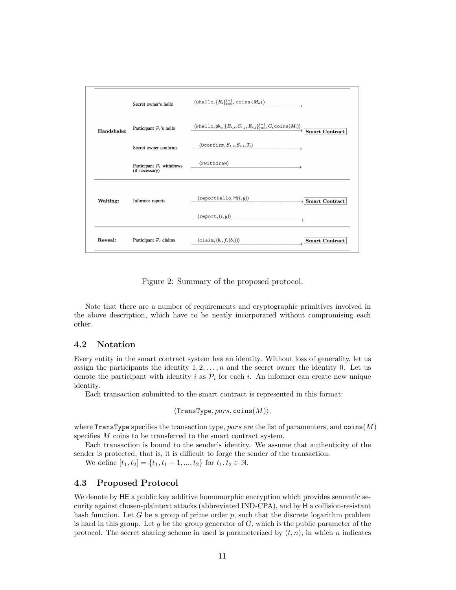

Figure 2: Summary of the proposed protocol.

Note that there are a number of requirements and cryptographic primitives involved in the above description, which have to be neatly incorporated without compromising each other.

# 4.2 Notation

Every entity in the smart contract system has an identity. Without loss of generality, let us assign the participants the identity  $1, 2, \ldots, n$  and the secret owner the identity 0. Let us denote the participant with identity i as  $\mathcal{P}_i$  for each i. An informer can create new unique identity.

Each transaction submitted to the smart contract is represented in this format:

```
\langleTransType, pars, coins(M)\rangle,
```
where TransType specifies the transaction type, pars are the list of paramenters, and  $\text{coins}(M)$ specifies M coins to be transferred to the smart contract system.

Each transaction is bound to the sender's identity. We assume that authenticity of the sender is protected, that is, it is difficult to forge the sender of the transaction.

We define  $[t_1, t_2] = \{t_1, t_1 + 1, ..., t_2\}$  for  $t_1, t_2 \in \mathbb{N}$ .

# 4.3 Proposed Protocol

We denote by HE a public key additive homomorphic encryption which provides semantic security against chosen-plaintext attacks (abbreviated IND-CPA), and by H a collision-resistant hash function. Let G be a group of prime order  $p$ , such that the discrete logarithm problem is hard in this group. Let  $g$  be the group generator of  $G$ , which is the public parameter of the protocol. The secret sharing scheme in used is parameterized by  $(t, n)$ , in which n indicates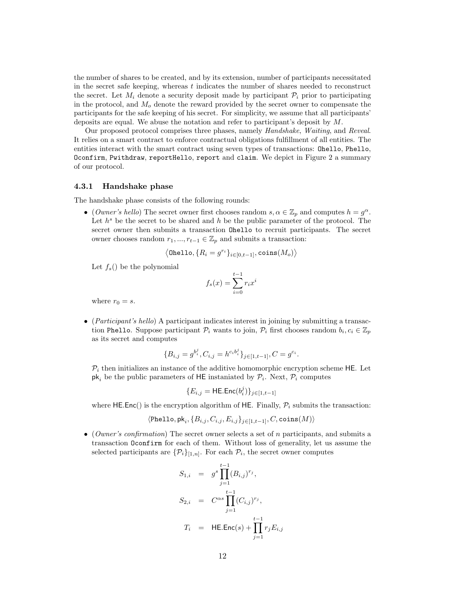the number of shares to be created, and by its extension, number of participants necessitated in the secret safe keeping, whereas  $t$  indicates the number of shares needed to reconstruct the secret. Let  $M_i$  denote a security deposit made by participant  $\mathcal{P}_i$  prior to participating in the protocol, and  $M<sub>o</sub>$  denote the reward provided by the secret owner to compensate the participants for the safe keeping of his secret. For simplicity, we assume that all participants' deposits are equal. We abuse the notation and refer to participant's deposit by M.

Our proposed protocol comprises three phases, namely Handshake, Waiting, and Reveal. It relies on a smart contract to enforce contractual obligations fulfillment of all entities. The entities interact with the smart contract using seven types of transactions: Ohello, Phello, Oconfirm, Pwithdraw, reportHello, report and claim. We depict in Figure 2 a summary of our protocol.

#### 4.3.1 Handshake phase

The handshake phase consists of the following rounds:

• (Owner's hello) The secret owner first chooses random  $s, \alpha \in \mathbb{Z}_p$  and computes  $h = g^{\alpha}$ . Let  $h^s$  be the secret to be shared and h be the public parameter of the protocol. The secret owner then submits a transaction Ohello to recruit participants. The secret owner chooses random  $r_1, ..., r_{t-1} \in \mathbb{Z}_p$  and submits a transaction:

$$
\langle \texttt{Ohello}, \{R_i = g^{r_i}\}_{i \in [0,t-1]}, \texttt{coins}(M_o) \rangle
$$

Let  $f_s()$  be the polynomial

$$
f_s(x) = \sum_{i=0}^{t-1} r_i x^i
$$

where  $r_0 = s$ .

• (*Participant's hello*) A participant indicates interest in joining by submitting a transaction Phello. Suppose participant  $\mathcal{P}_i$  wants to join,  $\mathcal{P}_i$  first chooses random  $b_i, c_i \in \mathbb{Z}_p$ as its secret and computes

$$
\{B_{i,j} = g^{b_i^j}, C_{i,j} = h^{c_i b_i^j}\}_{j \in [1, t-1]}, C = g^{c_i}.
$$

 $P_i$  then initializes an instance of the additive homomorphic encryption scheme HE. Let  $pk_i$  be the public parameters of HE instaniated by  $\mathcal{P}_i$ . Next,  $\mathcal{P}_i$  computes

$$
\{E_{i,j} = \mathsf{HE}.\mathsf{Enc}(b_i^j)\}_{j\in[1,t-1]}
$$

where HE.Enc() is the encryption algorithm of HE. Finally,  $P_i$  submits the transaction:

$$
\langle \texttt{Phello}, \textsf{pk}_i, \{B_{i,j}, C_{i,j}, E_{i,j}\}_{j\in[1,t-1]}, C, \texttt{coins}(M) \rangle
$$

• (*Owner's confirmation*) The secret owner selects a set of n participants, and submits a transaction Oconfirm for each of them. Without loss of generality, let us assume the selected participants are  $\{\mathcal{P}_i\}_{[1,n]}$ . For each  $\mathcal{P}_i$ , the secret owner computes

$$
S_{1,i} = g^{s} \prod_{j=1}^{t-1} (B_{i,j})^{r_{j}},
$$
  
\n
$$
S_{2,i} = C^{\alpha s} \prod_{j=1}^{t-1} (C_{i,j})^{r_{j}},
$$
  
\n
$$
T_{i} = HE.Enc(s) + \prod_{j=1}^{t-1} r_{j} E_{i,j}
$$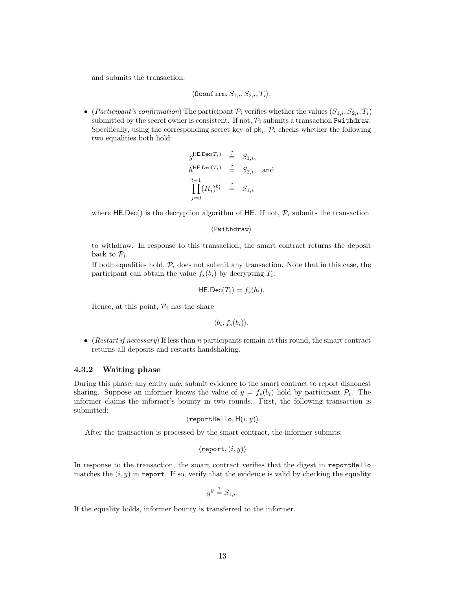and submits the transaction:

$$
\langle \texttt{Oconfirm}, S_{1,i}, S_{2,i}, T_i \rangle.
$$

• (Participant's confirmation) The participant  $\mathcal{P}_i$  verifies whether the values  $(S_{1,i}, S_{2,i}, T_i)$ submitted by the secret owner is consistent. If not,  $\mathcal{P}_i$  submits a transaction Pwithdraw. Specifically, using the corresponding secret key of  $pk_i$ ,  $\mathcal{P}_i$  checks whether the following two equalities both hold:

$$
g^{\mathsf{HE}.\mathsf{Dec}(T_i)} \stackrel{?}{=} S_{1,i},
$$
  
\n
$$
h^{\mathsf{HE}.\mathsf{Dec}(T_i)} \stackrel{?}{=} S_{2,i},
$$
 and  
\n
$$
\prod_{j=0}^{t-1} (R_j)^{b_i^j} \stackrel{?}{=} S_{1,i}
$$

where HE.Dec() is the decryption algorithm of HE. If not,  $\mathcal{P}_i$  submits the transaction

```
\langlePwithdraw\rangle
```
to withdraw. In response to this transaction, the smart contract returns the deposit back to  $\mathcal{P}_i$ .

If both equalities hold,  $\mathcal{P}_i$  does not submit any transaction. Note that in this case, the participant can obtain the value  $f_s(b_i)$  by decrypting  $T_i$ :

$$
\mathsf{HE}.\mathsf{Dec}(T_i) = f_s(b_i).
$$

Hence, at this point,  $P_i$  has the share

 $\langle b_i, f_s(b_i) \rangle$ .

• (Restart if necessary) If less than n participants remain at this round, the smart contract returns all deposits and restarts handshaking.

## 4.3.2 Waiting phase

During this phase, any entity may submit evidence to the smart contract to report dishonest sharing. Suppose an informer knows the value of  $y = f_s(b_i)$  hold by participant  $P_i$ . The informer claims the informer's bounty in two rounds. First, the following transaction is submitted:

```
\langlereportHello, H(i, y)\rangle
```
After the transaction is processed by the smart contract, the informer submits:

```
\langle \mathtt{report}, (i, y) \rangle
```
In response to the transaction, the smart contract verifies that the digest in reportHello matches the  $(i, y)$  in report. If so, verify that the evidence is valid by checking the equality

$$
g^y \stackrel{?}{=} S_{1,i}.
$$

If the equality holds, informer bounty is transferred to the informer.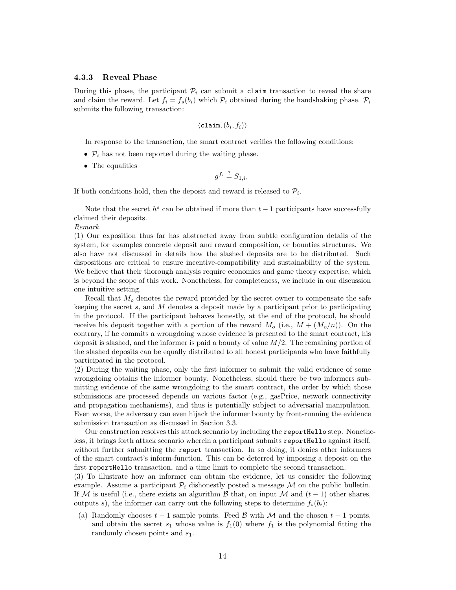#### 4.3.3 Reveal Phase

During this phase, the participant  $P_i$  can submit a claim transaction to reveal the share and claim the reward. Let  $f_i = f_s(b_i)$  which  $\mathcal{P}_i$  obtained during the handshaking phase.  $\mathcal{P}_i$ submits the following transaction:

$$
\langle \texttt{claim}, (b_i, f_i) \rangle
$$

In response to the transaction, the smart contract verifies the following conditions:

- $\mathcal{P}_i$  has not been reported during the waiting phase.
- The equalities

$$
g^{f_i} \stackrel{?}{=} S_{1,i},
$$

If both conditions hold, then the deposit and reward is released to  $\mathcal{P}_i$ .

Note that the secret  $h^s$  can be obtained if more than  $t-1$  participants have successfully claimed their deposits.

#### Remark.

(1) Our exposition thus far has abstracted away from subtle configuration details of the system, for examples concrete deposit and reward composition, or bounties structures. We also have not discussed in details how the slashed deposits are to be distributed. Such dispositions are critical to ensure incentive-compatibility and sustainability of the system. We believe that their thorough analysis require economics and game theory expertise, which is beyond the scope of this work. Nonetheless, for completeness, we include in our discussion one intuitive setting.

Recall that  $M<sub>o</sub>$  denotes the reward provided by the secret owner to compensate the safe keeping the secret  $s$ , and  $M$  denotes a deposit made by a participant prior to participating in the protocol. If the participant behaves honestly, at the end of the protocol, he should receive his deposit together with a portion of the reward  $M_o$  (i.e.,  $M + (M_o/n)$ ). On the contrary, if he commits a wrongdoing whose evidence is presented to the smart contract, his deposit is slashed, and the informer is paid a bounty of value  $M/2$ . The remaining portion of the slashed deposits can be equally distributed to all honest participants who have faithfully participated in the protocol.

(2) During the waiting phase, only the first informer to submit the valid evidence of some wrongdoing obtains the informer bounty. Nonetheless, should there be two informers submitting evidence of the same wrongdoing to the smart contract, the order by which those submissions are processed depends on various factor (e.g., gasPrice, network connectivity and propagation mechanisms), and thus is potentially subject to adversarial manipulation. Even worse, the adversary can even hijack the informer bounty by front-running the evidence submission transaction as discussed in Section 3.3.

Our construction resolves this attack scenario by including the reportHello step. Nonetheless, it brings forth attack scenario wherein a participant submits reportHello against itself, without further submitting the report transaction. In so doing, it denies other informers of the smart contract's inform-function. This can be deterred by imposing a deposit on the first reportHello transaction, and a time limit to complete the second transaction.

(3) To illustrate how an informer can obtain the evidence, let us consider the following example. Assume a participant  $\mathcal{P}_i$  dishonestly posted a message M on the public bulletin. If M is useful (i.e., there exists an algorithm B that, on input M and  $(t-1)$  other shares, outputs s), the informer can carry out the following steps to determine  $f_s(b_i)$ :

(a) Randomly chooses  $t - 1$  sample points. Feed B with M and the chosen  $t - 1$  points, and obtain the secret  $s_1$  whose value is  $f_1(0)$  where  $f_1$  is the polynomial fitting the randomly chosen points and  $s_1$ .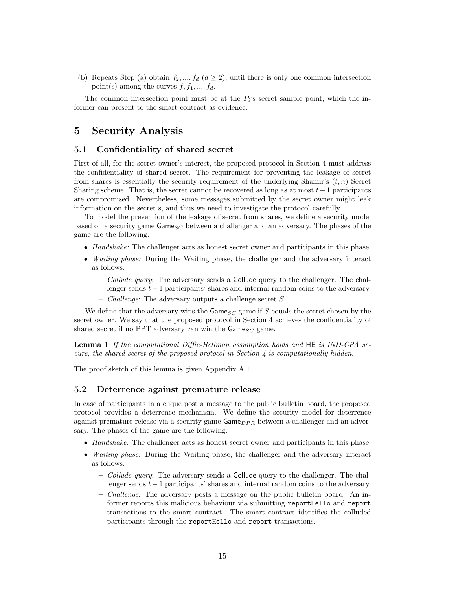(b) Repeats Step (a) obtain  $f_2, ..., f_d$  ( $d \geq 2$ ), until there is only one common intersection point(s) among the curves  $f, f_1, ..., f_d$ .

The common intersection point must be at the  $P_i$ 's secret sample point, which the informer can present to the smart contract as evidence.

# 5 Security Analysis

## 5.1 Confidentiality of shared secret

First of all, for the secret owner's interest, the proposed protocol in Section 4 must address the confidentiality of shared secret. The requirement for preventing the leakage of secret from shares is essentially the security requirement of the underlying Shamir's  $(t, n)$  Secret Sharing scheme. That is, the secret cannot be recovered as long as at most  $t-1$  participants are compromised. Nevertheless, some messages submitted by the secret owner might leak information on the secret s, and thus we need to investigate the protocol carefully.

To model the prevention of the leakage of secret from shares, we define a security model based on a security game  $\mathsf{Game}_{SC}$  between a challenger and an adversary. The phases of the game are the following:

- Handshake: The challenger acts as honest secret owner and participants in this phase.
- *Waiting phase:* During the Waiting phase, the challenger and the adversary interact as follows:
	- $-$  Collude query: The adversary sends a Collude query to the challenger. The challenger sends  $t - 1$  participants' shares and internal random coins to the adversary.
	- *Challenge*: The adversary outputs a challenge secret  $S$ .

We define that the adversary wins the  $\mathsf{Game}_{SC}$  game if S equals the secret chosen by the secret owner. We say that the proposed protocol in Section 4 achieves the confidentiality of shared secret if no PPT adversary can win the  $\mathsf{Game}_{SC}$  game.

Lemma 1 If the computational Diffie-Hellman assumption holds and HE is IND-CPA secure, the shared secret of the proposed protocol in Section  $\lambda$  is computationally hidden.

The proof sketch of this lemma is given Appendix A.1.

## 5.2 Deterrence against premature release

In case of participants in a clique post a message to the public bulletin board, the proposed protocol provides a deterrence mechanism. We define the security model for deterrence against premature release via a security game  $\mathsf{Game}_{DPR}$  between a challenger and an adversary. The phases of the game are the following:

- Handshake: The challenger acts as honest secret owner and participants in this phase.
- Waiting phase: During the Waiting phase, the challenger and the adversary interact as follows:
	- $-$  *Collude query*: The adversary sends a **Collude** query to the challenger. The challenger sends  $t - 1$  participants' shares and internal random coins to the adversary.
	- Challenge: The adversary posts a message on the public bulletin board. An informer reports this malicious behaviour via submitting reportHello and report transactions to the smart contract. The smart contract identifies the colluded participants through the reportHello and report transactions.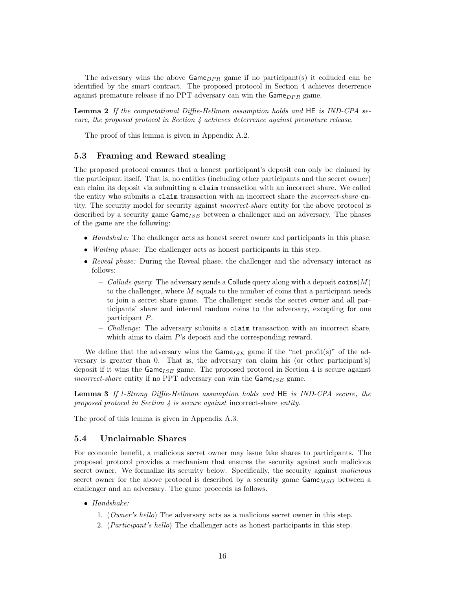The adversary wins the above  $\mathsf{Game}_{DPR}$  game if no participant(s) it colluded can be identified by the smart contract. The proposed protocol in Section 4 achieves deterrence against premature release if no PPT adversary can win the  $\mathsf{Game}_{DPR}$  game.

Lemma 2 If the computational Diffie-Hellman assumption holds and HE is IND-CPA secure, the proposed protocol in Section 4 achieves deterrence against premature release.

The proof of this lemma is given in Appendix A.2.

# 5.3 Framing and Reward stealing

The proposed protocol ensures that a honest participant's deposit can only be claimed by the participant itself. That is, no entities (including other participants and the secret owner) can claim its deposit via submitting a claim transaction with an incorrect share. We called the entity who submits a claim transaction with an incorrect share the *incorrect-share* entity. The security model for security against incorrect-share entity for the above protocol is described by a security game  $\mathsf{Game}_{ISE}$  between a challenger and an adversary. The phases of the game are the following:

- Handshake: The challenger acts as honest secret owner and participants in this phase.
- *Waiting phase:* The challenger acts as honest participants in this step.
- Reveal phase: During the Reveal phase, the challenger and the adversary interact as follows:
	- Collude query: The adversary sends a Collude query along with a deposit  $\text{coins}(M)$ to the challenger, where  $M$  equals to the number of coins that a participant needs to join a secret share game. The challenger sends the secret owner and all participants' share and internal random coins to the adversary, excepting for one participant P.
	- $-$  Challenge: The adversary submits a claim transaction with an incorrect share, which aims to claim P's deposit and the corresponding reward.

We define that the adversary wins the  $\mathsf{Game}_{ISE}$  game if the "net profit(s)" of the adversary is greater than 0. That is, the adversary can claim his (or other participant's) deposit if it wins the  $\mathsf{Game}_{ISE}$  game. The proposed protocol in Section 4 is secure against incorrect-share entity if no PPT adversary can win the  $\textsf{Game}_{ISE}$  game.

Lemma 3 If l-Strong Diffie-Hellman assumption holds and HE is IND-CPA secure, the proposed protocol in Section 4 is secure against incorrect-share entity.

The proof of this lemma is given in Appendix A.3.

## 5.4 Unclaimable Shares

For economic benefit, a malicious secret owner may issue fake shares to participants. The proposed protocol provides a mechanism that ensures the security against such malicious secret owner. We formalize its security below. Specifically, the security against malicious secret owner for the above protocol is described by a security game  $\mathsf{Game}_{MSO}$  between a challenger and an adversary. The game proceeds as follows.

- Handshake:
	- 1. (Owner's hello) The adversary acts as a malicious secret owner in this step.
	- 2. (Participant's hello) The challenger acts as honest participants in this step.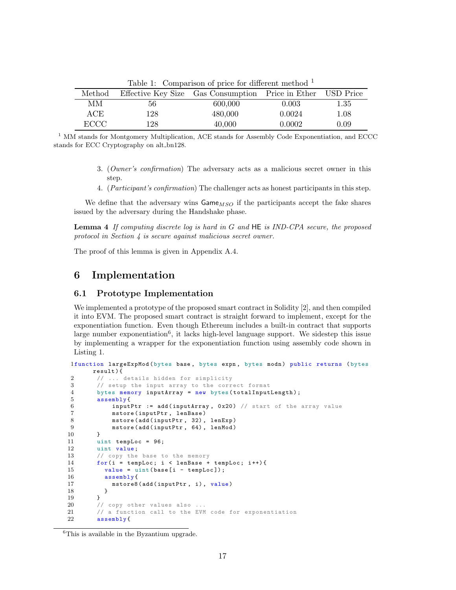| rasic r. Companson or price for annorme meetic |     |                                                             |        |          |
|------------------------------------------------|-----|-------------------------------------------------------------|--------|----------|
| Method                                         |     | Effective Key Size Gas Consumption Price in Ether USD Price |        |          |
| MМ                                             | 56  | 600,000                                                     | 0.003  | $1.35\,$ |
| ACE                                            | 128 | 480,000                                                     | 0.0024 | 1.08     |
| ECCC.                                          | 128 | 40,000                                                      | 0.0002 | 0.09     |

Table 1: Comparison of price for different method  $<sup>1</sup>$ </sup>

<sup>1</sup> MM stands for Montgomery Multiplication, ACE stands for Assembly Code Exponentiation, and ECCC stands for ECC Cryptography on alt\_bn128.

- 3. (Owner's confirmation) The adversary acts as a malicious secret owner in this step.
- 4. (Participant's confirmation) The challenger acts as honest participants in this step.

We define that the adversary wins  $\mathsf{Game}_{MSO}$  if the participants accept the fake shares issued by the adversary during the Handshake phase.

**Lemma 4** If computing discrete log is hard in G and  $HE$  is IND-CPA secure, the proposed protocol in Section 4 is secure against malicious secret owner.

The proof of this lemma is given in Appendix A.4.

# 6 Implementation

# 6.1 Prototype Implementation

We implemented a prototype of the proposed smart contract in Solidity [2], and then compiled it into EVM. The proposed smart contract is straight forward to implement, except for the exponentiation function. Even though Ethereum includes a built-in contract that supports large number exponentiation<sup>6</sup>, it lacks high-level language support. We sidestep this issue by implementing a wrapper for the exponentiation function using assembly code shown in Listing 1.

```
1function largeExpMod ( bytes base , bytes expn , bytes modn ) public returns ( bytes
       result ) {
2 // ... details hidden for simplicity<br>3 // setup the input array to the corr
         // setup the input array to the correct format
4 bytes memory inputArray = new bytes (totalInputLength);
5 assembly {
6 inputPtr := add (inputArray, 0x20) // start of the array value<br>7 mstore (inputPtr, lenBase)
             mstore (inputPtr, lenBase)
8 mstore (add (inputPtr, 32), lenExp)
9 mstore (add (inputPtr, 64), lenMod)<br>10 }
\frac{10}{11}11 uint tempLoc = 96;<br>12 uint value:
        uint value;
13 // copy the base to the memory
14 for (i = tempLoc; i < lenBase + tempLoc; i++)15 value = uint (base [i - tempLoc]);<br>16 assembly f
           assembly {
17 mstore8(add(inputPtr, i), value)<br>18
18 }
19 }
20 // copy other values also ...<br>21 // a function call to the EVM
         // a function call to the EVM code for exponentiation
22 assembly {
```
<sup>&</sup>lt;sup>6</sup>This is available in the Byzantium upgrade.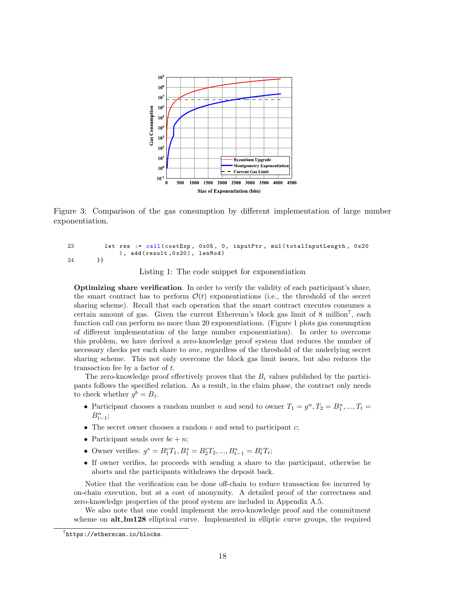

Figure 3: Comparison of the gas consumption by different implementation of large number exponentiation.

```
23 let res := call (costExp, 0x05, 0, inputPtr, mul (totalInputLength, 0x20
             ), add (result, 0x20), lenMod)
24 }}
```
Listing 1: The code snippet for exponentiation

Optimizing share verification. In order to verify the validity of each participant's share, the smart contract has to perform  $\mathcal{O}(t)$  exponentiations (i.e., the threshold of the secret sharing scheme). Recall that each operation that the smart contract executes consumes a certain amount of gas. Given the current Ethereum's block gas limit of  $8 \text{ million}^7$ , each function call can perform no more than 20 exponentiations. (Figure 1 plots gas consumption of different implementation of the large number exponentiation). In order to overcome this problem, we have derived a zero-knowledge proof system that reduces the number of necessary checks per each share to one, regardless of the threshold of the underlying secret sharing scheme. This not only overcome the block gas limit issues, but also reduces the transaction fee by a factor of t.

The zero-knowledge proof effectively proves that the  $B_i$  values published by the participants follows the specified relation. As a result, in the claim phase, the contract only needs to check whether  $g^b = B_1$ .

- Participant chooses a random number n and send to owner  $T_1 = g^n, T_2 = B_1^n, ..., T_t =$  $B_{t-1}^n;$
- The secret owner chooses a random  $c$  and send to participant  $c$ ;
- Participant sends over  $bc + n$ ;
- Owner verifies:  $g^s = B_1^c T_1, B_1^s = B_2^c T_2, ..., B_{t-1}^s = B_t^c T_t;$
- If owner verifies, he proceeds with sending a share to the participant, otherwise he aborts and the participants withdraws the deposit back.

Notice that the verification can be done off-chain to reduce transaction fee incurred by on-chain execution, but at a cost of anonymity. A detailed proof of the correctness and zero-knowledge properties of the proof system are included in Appendix A.5.

We also note that one could implement the zero-knowledge proof and the commitment scheme on **alt\_bn128** elliptical curve. Implemented in elliptic curve groups, the required

 $^{7}$ https://etherscan.io/blocks.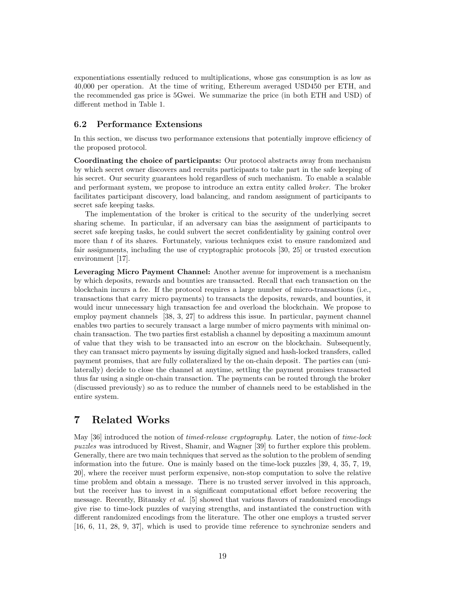exponentiations essentially reduced to multiplications, whose gas consumption is as low as 40,000 per operation. At the time of writing, Ethereum averaged USD450 per ETH, and the recommended gas price is 5Gwei. We summarize the price (in both ETH and USD) of different method in Table 1.

# 6.2 Performance Extensions

In this section, we discuss two performance extensions that potentially improve efficiency of the proposed protocol.

Coordinating the choice of participants: Our protocol abstracts away from mechanism by which secret owner discovers and recruits participants to take part in the safe keeping of his secret. Our security guarantees hold regardless of such mechanism. To enable a scalable and performant system, we propose to introduce an extra entity called broker. The broker facilitates participant discovery, load balancing, and random assignment of participants to secret safe keeping tasks.

The implementation of the broker is critical to the security of the underlying secret sharing scheme. In particular, if an adversary can bias the assignment of participants to secret safe keeping tasks, he could subvert the secret confidentiality by gaining control over more than  $t$  of its shares. Fortunately, various techniques exist to ensure randomized and fair assignments, including the use of cryptographic protocols [30, 25] or trusted execution environment [17].

Leveraging Micro Payment Channel: Another avenue for improvement is a mechanism by which deposits, rewards and bounties are transacted. Recall that each transaction on the blockchain incurs a fee. If the protocol requires a large number of micro-transactions (i.e., transactions that carry micro payments) to transacts the deposits, rewards, and bounties, it would incur unnecessary high transaction fee and overload the blockchain. We propose to employ payment channels [38, 3, 27] to address this issue. In particular, payment channel enables two parties to securely transact a large number of micro payments with minimal onchain transaction. The two parties first establish a channel by depositing a maximum amount of value that they wish to be transacted into an escrow on the blockchain. Subsequently, they can transact micro payments by issuing digitally signed and hash-locked transfers, called payment promises, that are fully collateralized by the on-chain deposit. The parties can (unilaterally) decide to close the channel at anytime, settling the payment promises transacted thus far using a single on-chain transaction. The payments can be routed through the broker (discussed previously) so as to reduce the number of channels need to be established in the entire system.

# 7 Related Works

May [36] introduced the notion of timed-release cryptography. Later, the notion of time-lock puzzles was introduced by Rivest, Shamir, and Wagner [39] to further explore this problem. Generally, there are two main techniques that served as the solution to the problem of sending information into the future. One is mainly based on the time-lock puzzles [39, 4, 35, 7, 19, 20], where the receiver must perform expensive, non-stop computation to solve the relative time problem and obtain a message. There is no trusted server involved in this approach, but the receiver has to invest in a significant computational effort before recovering the message. Recently, Bitansky et al. [5] showed that various flavors of randomized encodings give rise to time-lock puzzles of varying strengths, and instantiated the construction with different randomized encodings from the literature. The other one employs a trusted server [16, 6, 11, 28, 9, 37], which is used to provide time reference to synchronize senders and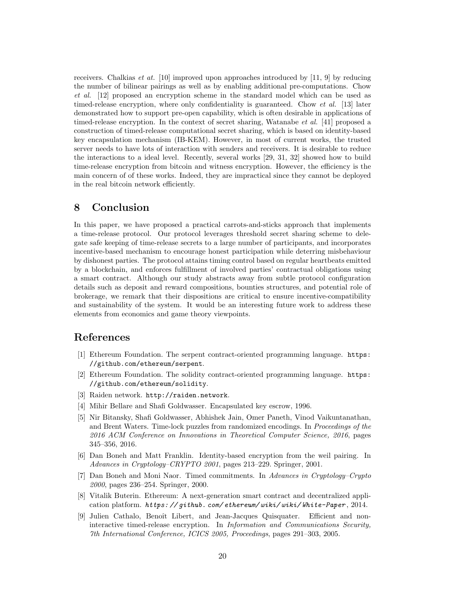receivers. Chalkias *et at.* [10] improved upon approaches introduced by [11, 9] by reducing the number of bilinear pairings as well as by enabling additional pre-computations. Chow et al. [12] proposed an encryption scheme in the standard model which can be used as timed-release encryption, where only confidentiality is guaranteed. Chow *et al.* [13] later demonstrated how to support pre-open capability, which is often desirable in applications of timed-release encryption. In the context of secret sharing, Watanabe *et al.* [41] proposed a construction of timed-release computational secret sharing, which is based on identity-based key encapsulation mechanism (IB-KEM). However, in most of current works, the trusted server needs to have lots of interaction with senders and receivers. It is desirable to reduce the interactions to a ideal level. Recently, several works [29, 31, 32] showed how to build time-release encryption from bitcoin and witness encryption. However, the efficiency is the main concern of of these works. Indeed, they are impractical since they cannot be deployed in the real bitcoin network efficiently.

# 8 Conclusion

In this paper, we have proposed a practical carrots-and-sticks approach that implements a time-release protocol. Our protocol leverages threshold secret sharing scheme to delegate safe keeping of time-release secrets to a large number of participants, and incorporates incentive-based mechanism to encourage honest participation while deterring misbehaviour by dishonest parties. The protocol attains timing control based on regular heartbeats emitted by a blockchain, and enforces fulfillment of involved parties' contractual obligations using a smart contract. Although our study abstracts away from subtle protocol configuration details such as deposit and reward compositions, bounties structures, and potential role of brokerage, we remark that their dispositions are critical to ensure incentive-compatibility and sustainability of the system. It would be an interesting future work to address these elements from economics and game theory viewpoints.

# References

- [1] Ethereum Foundation. The serpent contract-oriented programming language. https: //github.com/ethereum/serpent.
- [2] Ethereum Foundation. The solidity contract-oriented programming language. https: //github.com/ethereum/solidity.
- [3] Raiden network. http://raiden.network.
- [4] Mihir Bellare and Shafi Goldwasser. Encapsulated key escrow, 1996.
- [5] Nir Bitansky, Shafi Goldwasser, Abhishek Jain, Omer Paneth, Vinod Vaikuntanathan, and Brent Waters. Time-lock puzzles from randomized encodings. In Proceedings of the 2016 ACM Conference on Innovations in Theoretical Computer Science, 2016, pages 345–356, 2016.
- [6] Dan Boneh and Matt Franklin. Identity-based encryption from the weil pairing. In Advances in Cryptology–CRYPTO 2001, pages 213–229. Springer, 2001.
- [7] Dan Boneh and Moni Naor. Timed commitments. In Advances in Cryptology–Crypto 2000, pages 236–254. Springer, 2000.
- [8] Vitalik Buterin. Ethereum: A next-generation smart contract and decentralized application platform.  $https://github.com/ethereum/wiki/wiki/Mrite-Paper, 2014$ .
- [9] Julien Cathalo, Benoît Libert, and Jean-Jacques Quisquater. Efficient and noninteractive timed-release encryption. In Information and Communications Security, 7th International Conference, ICICS 2005, Proceedings, pages 291–303, 2005.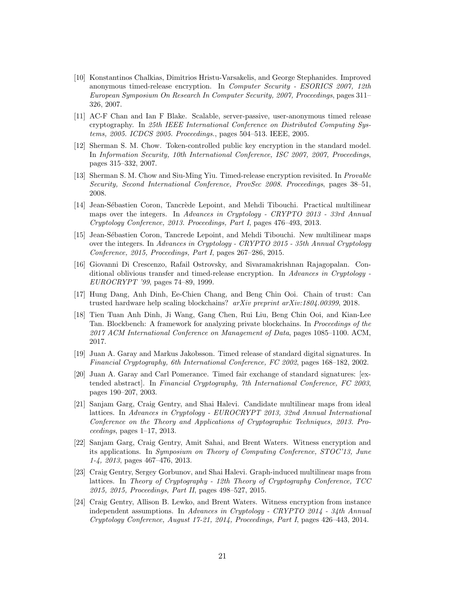- [10] Konstantinos Chalkias, Dimitrios Hristu-Varsakelis, and George Stephanides. Improved anonymous timed-release encryption. In *Computer Security - ESORICS 2007*, 12th European Symposium On Research In Computer Security, 2007, Proceedings, pages 311– 326, 2007.
- [11] AC-F Chan and Ian F Blake. Scalable, server-passive, user-anonymous timed release cryptography. In 25th IEEE International Conference on Distributed Computing Systems, 2005. ICDCS 2005. Proceedings., pages 504–513. IEEE, 2005.
- [12] Sherman S. M. Chow. Token-controlled public key encryption in the standard model. In Information Security, 10th International Conference, ISC 2007, 2007, Proceedings, pages 315–332, 2007.
- [13] Sherman S. M. Chow and Siu-Ming Yiu. Timed-release encryption revisited. In Provable Security, Second International Conference, ProvSec 2008. Proceedings, pages 38–51, 2008.
- [14] Jean-Sébastien Coron, Tancrède Lepoint, and Mehdi Tibouchi. Practical multilinear maps over the integers. In Advances in Cryptology - CRYPTO 2013 - 33rd Annual Cryptology Conference, 2013. Proceedings, Part I, pages 476–493, 2013.
- [15] Jean-Sébastien Coron, Tancrede Lepoint, and Mehdi Tibouchi. New multilinear maps over the integers. In Advances in Cryptology - CRYPTO 2015 - 35th Annual Cryptology Conference, 2015, Proceedings, Part I, pages 267–286, 2015.
- [16] Giovanni Di Crescenzo, Rafail Ostrovsky, and Sivaramakrishnan Rajagopalan. Conditional oblivious transfer and timed-release encryption. In Advances in Cryptology -EUROCRYPT '99, pages 74–89, 1999.
- [17] Hung Dang, Anh Dinh, Ee-Chien Chang, and Beng Chin Ooi. Chain of trust: Can trusted hardware help scaling blockchains? arXiv preprint arXiv:1804.00399, 2018.
- [18] Tien Tuan Anh Dinh, Ji Wang, Gang Chen, Rui Liu, Beng Chin Ooi, and Kian-Lee Tan. Blockbench: A framework for analyzing private blockchains. In Proceedings of the 2017 ACM International Conference on Management of Data, pages 1085–1100. ACM, 2017.
- [19] Juan A. Garay and Markus Jakobsson. Timed release of standard digital signatures. In Financial Cryptography, 6th International Conference, FC 2002, pages 168–182, 2002.
- [20] Juan A. Garay and Carl Pomerance. Timed fair exchange of standard signatures: [extended abstract]. In Financial Cryptography, 7th International Conference, FC 2003, pages 190–207, 2003.
- [21] Sanjam Garg, Craig Gentry, and Shai Halevi. Candidate multilinear maps from ideal lattices. In Advances in Cryptology - EUROCRYPT 2013, 32nd Annual International Conference on the Theory and Applications of Cryptographic Techniques, 2013. Pro $ceedings, pages 1–17, 2013.$
- [22] Sanjam Garg, Craig Gentry, Amit Sahai, and Brent Waters. Witness encryption and its applications. In Symposium on Theory of Computing Conference, STOC'13, June 1-4, 2013, pages 467–476, 2013.
- [23] Craig Gentry, Sergey Gorbunov, and Shai Halevi. Graph-induced multilinear maps from lattices. In Theory of Cryptography - 12th Theory of Cryptography Conference, TCC 2015, 2015, Proceedings, Part II, pages 498–527, 2015.
- [24] Craig Gentry, Allison B. Lewko, and Brent Waters. Witness encryption from instance independent assumptions. In Advances in Cryptology - CRYPTO 2014 - 34th Annual Cryptology Conference, August 17-21, 2014, Proceedings, Part I, pages 426–443, 2014.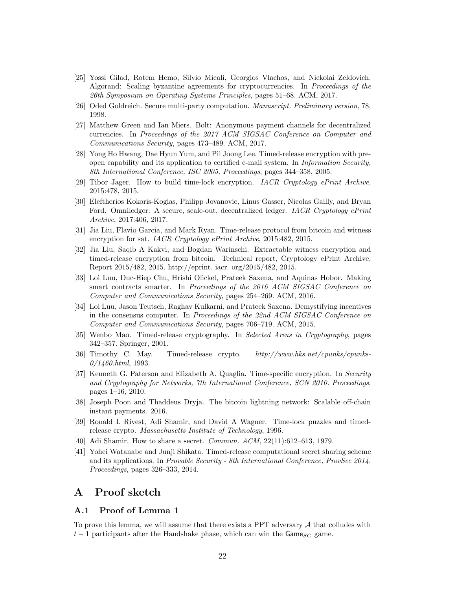- [25] Yossi Gilad, Rotem Hemo, Silvio Micali, Georgios Vlachos, and Nickolai Zeldovich. Algorand: Scaling byzantine agreements for cryptocurrencies. In Proceedings of the 26th Symposium on Operating Systems Principles, pages 51–68. ACM, 2017.
- [26] Oded Goldreich. Secure multi-party computation. Manuscript. Preliminary version, 78, 1998.
- [27] Matthew Green and Ian Miers. Bolt: Anonymous payment channels for decentralized currencies. In Proceedings of the 2017 ACM SIGSAC Conference on Computer and Communications Security, pages 473–489. ACM, 2017.
- [28] Yong Ho Hwang, Dae Hyun Yum, and Pil Joong Lee. Timed-release encryption with preopen capability and its application to certified e-mail system. In Information Security, 8th International Conference, ISC 2005, Proceedings, pages 344–358, 2005.
- [29] Tibor Jager. How to build time-lock encryption. IACR Cryptology ePrint Archive, 2015:478, 2015.
- [30] Eleftherios Kokoris-Kogias, Philipp Jovanovic, Linus Gasser, Nicolas Gailly, and Bryan Ford. Omniledger: A secure, scale-out, decentralized ledger. *IACR Cryptology ePrint* Archive, 2017:406, 2017.
- [31] Jia Liu, Flavio Garcia, and Mark Ryan. Time-release protocol from bitcoin and witness encryption for sat. IACR Cryptology ePrint Archive, 2015:482, 2015.
- [32] Jia Liu, Saqib A Kakvi, and Bogdan Warinschi. Extractable witness encryption and timed-release encryption from bitcoin. Technical report, Cryptology ePrint Archive, Report 2015/482, 2015. http://eprint. iacr. org/2015/482, 2015.
- [33] Loi Luu, Duc-Hiep Chu, Hrishi Olickel, Prateek Saxena, and Aquinas Hobor. Making smart contracts smarter. In Proceedings of the 2016 ACM SIGSAC Conference on Computer and Communications Security, pages 254–269. ACM, 2016.
- [34] Loi Luu, Jason Teutsch, Raghav Kulkarni, and Prateek Saxena. Demystifying incentives in the consensus computer. In Proceedings of the 22nd ACM SIGSAC Conference on Computer and Communications Security, pages 706–719. ACM, 2015.
- [35] Wenbo Mao. Timed-release cryptography. In Selected Areas in Cryptography, pages 342–357. Springer, 2001.
- [36] Timothy C. May. Timed-release crypto. http://www.hks.net/cpunks/cpunks- $0/1460.html$ , 1993.
- [37] Kenneth G. Paterson and Elizabeth A. Quaglia. Time-specific encryption. In Security and Cryptography for Networks, 7th International Conference, SCN 2010. Proceedings, pages 1–16, 2010.
- [38] Joseph Poon and Thaddeus Dryja. The bitcoin lightning network: Scalable off-chain instant payments. 2016.
- [39] Ronald L Rivest, Adi Shamir, and David A Wagner. Time-lock puzzles and timedrelease crypto. Massachusetts Institute of Technology, 1996.
- [40] Adi Shamir. How to share a secret. *Commun. ACM*, 22(11):612–613, 1979.
- [41] Yohei Watanabe and Junji Shikata. Timed-release computational secret sharing scheme and its applications. In Provable Security - 8th International Conference, ProvSec 2014. Proceedings, pages 326–333, 2014.

# A Proof sketch

# A.1 Proof of Lemma 1

To prove this lemma, we will assume that there exists a PPT adversary  $A$  that colludes with  $t-1$  participants after the Handshake phase, which can win the Game<sub>SC</sub> game.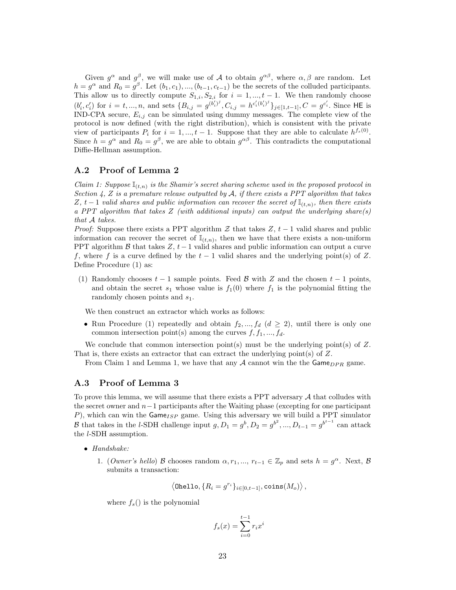Given  $g^{\alpha}$  and  $g^{\beta}$ , we will make use of A to obtain  $g^{\alpha\beta}$ , where  $\alpha, \beta$  are random. Let  $h = g^{\alpha}$  and  $R_0 = g^{\beta}$ . Let  $(b_1, c_1), ..., (b_{t-1}, c_{t-1})$  be the secrets of the colluded participants. This allow us to directly compute  $S_{1,i}, S_{2,i}$  for  $i = 1, ..., t-1$ . We then randomly choose  $(b'_i, c'_i)$  for  $i = t, ..., n$ , and sets  $\{B_{i,j} = g^{(b'_i)^j}, C_{i,j} = h^{c'_i(b'_i)^j}\}_{j \in [1, t-1]}, C = g^{c'_i}$ . Since HE is IND-CPA secure,  $E_{i,j}$  can be simulated using dummy messages. The complete view of the protocol is now defined (with the right distribution), which is consistent with the private view of participants  $P_i$  for  $i = 1, ..., t - 1$ . Suppose that they are able to calculate  $h^{fs}(0)$ . Since  $h = g^{\alpha}$  and  $R_0 = g^{\beta}$ , we are able to obtain  $g^{\alpha\beta}$ . This contradicts the computational Diffie-Hellman assumption.

# A.2 Proof of Lemma 2

Claim 1: Suppose  $\mathbb{I}_{(t,n)}$  is the Shamir's secret sharing scheme used in the proposed protocol in Section 4, Z is a premature release outputted by A, if there exists a PPT algorithm that takes Z, t – 1 valid shares and public information can recover the secret of  $\mathbb{I}_{(t,n)}$ , then there exists a PPT algorithm that takes  $Z$  (with additional inputs) can output the underlying share(s) that A takes.

*Proof:* Suppose there exists a PPT algorithm  $Z$  that takes  $Z$ ,  $t-1$  valid shares and public information can recover the secret of  $\mathbb{I}_{(t,n)}$ , then we have that there exists a non-uniform PPT algorithm B that takes  $Z, t-1$  valid shares and public information can output a curve f, where f is a curve defined by the  $t-1$  valid shares and the underlying point(s) of Z. Define Procedure (1) as:

(1) Randomly chooses  $t-1$  sample points. Feed  $\beta$  with Z and the chosen  $t-1$  points, and obtain the secret  $s_1$  whose value is  $f_1(0)$  where  $f_1$  is the polynomial fitting the randomly chosen points and  $s_1$ .

We then construct an extractor which works as follows:

• Run Procedure (1) repeatedly and obtain  $f_2, ..., f_d$  ( $d \geq 2$ ), until there is only one common intersection point(s) among the curves  $f, f_1, ..., f_d$ .

We conclude that common intersection point(s) must be the underlying point(s) of  $Z$ . That is, there exists an extractor that can extract the underlying point(s) of Z.

From Claim 1 and Lemma 1, we have that any  $\mathcal A$  cannot win the the Game $_{DPR}$  game.

## A.3 Proof of Lemma 3

To prove this lemma, we will assume that there exists a PPT adversary  $A$  that colludes with the secret owner and  $n-1$  participants after the Waiting phase (excepting for one participant P), which can win the  $\mathsf{Game}_{ISP}$  game. Using this adversary we will build a PPT simulator B that takes in the l-SDH challenge input  $g, D_1 = g^b, D_2 = g^{b^2}, ..., D_{t-1} = g^{b^{t-1}}$  can attack the l-SDH assumption.

- $\bullet$  Handshake:
	- 1. (Owner's hello) B chooses random  $\alpha, r_1, ..., r_{t-1} \in \mathbb{Z}_p$  and sets  $h = g^{\alpha}$ . Next, B submits a transaction:

$$
\left\langle \texttt{Ohello}, \{R_i = g^{r_i}\}_{i \in [0, t-1]}, \texttt{coins}(M_o) \right\rangle,
$$

where  $f_s()$  is the polynomial

$$
f_s(x) = \sum_{i=0}^{t-1} r_i x^i
$$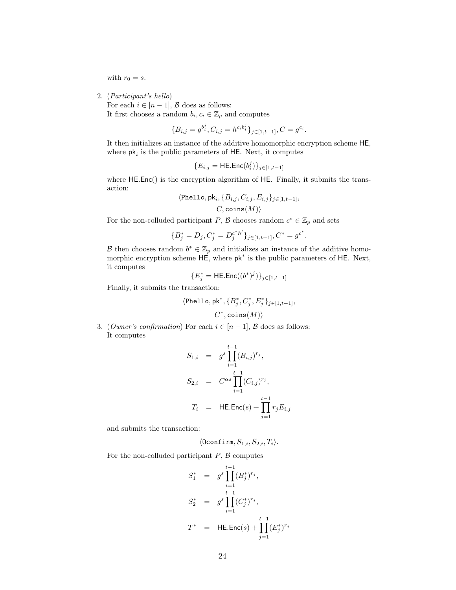with  $r_0 = s$ .

2. (Participant's hello)

For each  $i \in [n-1]$ ,  $\beta$  does as follows: It first chooses a random  $b_i, c_i \in \mathbb{Z}_p$  and computes

$$
\{B_{i,j} = g^{b_i^j}, C_{i,j} = h^{c_i b_i^j}\}_{j \in [1, t-1]}, C = g^{c_i}.
$$

It then initializes an instance of the additive homomorphic encryption scheme HE, where  $pk_i$  is the public parameters of HE. Next, it computes

$$
\{E_{i,j}=\mathsf{HE}.\mathsf{Enc}(b_i^j)\}_{j\in[1,t-1]}
$$

where  $HE.Enc()$  is the encryption algorithm of HE. Finally, it submits the transaction:

$$
\langle \text{Phello}, \text{pk}_i, \{B_{i,j}, C_{i,j}, E_{i,j}\}_{j \in [1, t-1]},
$$
  

$$
C, \text{coins}(M) \rangle
$$

For the non-colluded participant P,  $\mathcal{B}$  chooses random  $c^* \in \mathbb{Z}_p$  and sets

$$
\{B_j^* = D_j, C_j^* = D_j^{c^*h'}\}_{j \in [1, t-1]}, C^* = g^{c^*}.
$$

B then chooses random  $b^* \in \mathbb{Z}_p$  and initializes an instance of the additive homomorphic encryption scheme HE, where pk<sup>∗</sup> is the public parameters of HE. Next, it computes

$$
\{E_j^* = \mathsf{HE}.\mathsf{Enc}((b^*)^j)\}_{j \in [1,t-1]}
$$

Finally, it submits the transaction:

$$
\label{eq:chello} \begin{split} \langle \texttt{Phello}, \texttt{pk}^*, \{B_j^*, C_j^*, E_j^*\}_{j \in [1, t-1]}, \\ C^*, \texttt{coins}(M) \rangle \end{split}
$$

3. (*Owner's confirmation*) For each  $i \in [n-1]$ ,  $\beta$  does as follows: It computes

$$
S_{1,i} = g^s \prod_{i=1}^{t-1} (B_{i,j})^{r_j},
$$
  
\n
$$
S_{2,i} = C^{\alpha s} \prod_{i=1}^{t-1} (C_{i,j})^{r_j},
$$
  
\n
$$
T_i = HEEnc(s) + \prod_{j=1}^{t-1} r_j E_{i,j}
$$

and submits the transaction:

$$
\langle \texttt{Oconfirm}, S_{1,i}, S_{2,i}, T_i \rangle.
$$

For the non-colluded participant  $P$ ,  $\beta$  computes

$$
S_1^* = g^s \prod_{i=1}^{t-1} (B_j^*)^{r_j},
$$
  
\n
$$
S_2^* = g^s \prod_{i=1}^{t-1} (C_j^*)^{r_j},
$$
  
\n
$$
T^* = HE.Enc(s) + \prod_{j=1}^{t-1} (E_j^*)^{r_j}
$$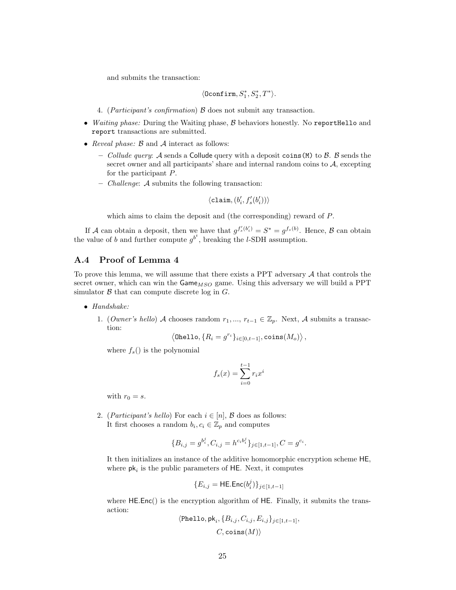and submits the transaction:

$$
\langle \texttt{Oconfirm}, S_1^*, S_2^*, T^* \rangle.
$$

- 4. (*Participant's confirmation*)  $\beta$  does not submit any transaction.
- Waiting phase: During the Waiting phase, B behaviors honestly. No reportHello and report transactions are submitted.
- Reveal phase:  $\beta$  and  $\mathcal A$  interact as follows:
	- Collude query: A sends a Collude query with a deposit coins (M) to  $\beta$ .  $\beta$  sends the secret owner and all participants' share and internal random coins to  $A$ , excepting for the participant P.
	- Challenge: A submits the following transaction:

$$
\langle \texttt{claim}, (b'_i, f'_s(b'_i)) \rangle
$$

which aims to claim the deposit and (the corresponding) reward of P.

If A can obtain a deposit, then we have that  $g^{f_s'(b_i')} = S^* = g^{f_s(b)}$ . Hence, B can obtain the value of b and further compute  $g^{b^t}$ , breaking the l-SDH assumption.

# A.4 Proof of Lemma 4

To prove this lemma, we will assume that there exists a PPT adversary  $A$  that controls the secret owner, which can win the  $\mathsf{Game}_{MSO}$  game. Using this adversary we will build a PPT simulator  $\beta$  that can compute discrete log in  $G$ .

- Handshake:
	- 1. (*Owner's hello*) A chooses random  $r_1, ..., r_{t-1} \in \mathbb{Z}_p$ . Next, A submits a transaction:

$$
\left\langle \texttt{Onello}, \{R_i=g^{r_i}\}_{i\in[0,t-1]}, \texttt{coins}(M_o)\right\rangle,
$$

where  $f_s()$  is the polynomial

$$
f_s(x) = \sum_{i=0}^{t-1} r_i x^i
$$

with  $r_0 = s$ .

2. (Participant's hello) For each  $i \in [n]$ ,  $\beta$  does as follows: It first chooses a random  $b_i, c_i \in \mathbb{Z}_p$  and computes

$$
\{B_{i,j} = g^{b_i^j}, C_{i,j} = h^{c_i b_i^j}\}_{j \in [1, t-1]}, C = g^{c_i}.
$$

It then initializes an instance of the additive homomorphic encryption scheme HE, where  $pk_i$  is the public parameters of HE. Next, it computes

$$
\{E_{i,j}=\mathsf{HE}.\mathsf{Enc}(b_i^j)\}_{j\in[1,t-1]}
$$

where HE.Enc() is the encryption algorithm of HE. Finally, it submits the transaction:

$$
\langle \text{Phello}, \text{pk}_i, \{B_{i,j}, C_{i,j}, E_{i,j}\}_{j \in [1, t-1]},
$$

$$
C, \text{coins}(M) \rangle
$$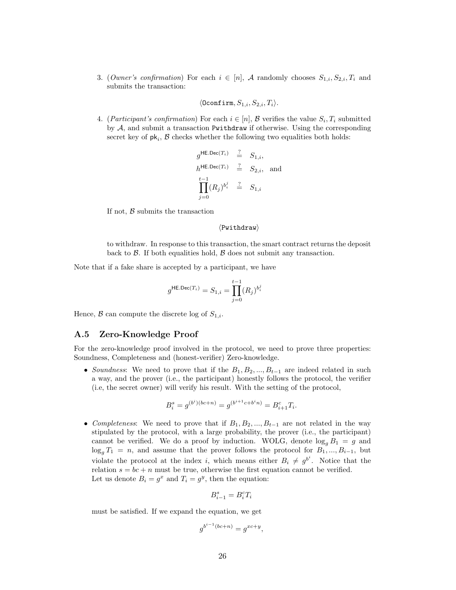3. (Owner's confirmation) For each  $i \in [n]$ , A randomly chooses  $S_{1,i}, S_{2,i}, T_i$  and submits the transaction:

$$
\langle \texttt{Oconfirm}, S_{1,i}, S_{2,i}, T_i \rangle.
$$

4. (*Participant's confirmation*) For each  $i \in [n]$ ,  $\mathcal{B}$  verifies the value  $S_i, T_i$  submitted by  $A$ , and submit a transaction Pwithdraw if otherwise. Using the corresponding secret key of  $pk_i$ ,  $B$  checks whether the following two equalities both holds:

$$
g^{\mathsf{HE}, \mathsf{Dec}(T_i)} \stackrel{?}{=} S_{1,i},
$$
  
\n
$$
h^{\mathsf{HE}, \mathsf{Dec}(T_i)} \stackrel{?}{=} S_{2,i}, \text{ and}
$$
  
\n
$$
\prod_{j=0}^{t-1} (R_j)^{b_i^j} \stackrel{?}{=} S_{1,i}
$$

If not,  $\beta$  submits the transaction

#### $\langle$ Pwithdraw $\rangle$

to withdraw. In response to this transaction, the smart contract returns the deposit back to  $\beta$ . If both equalities hold,  $\beta$  does not submit any transaction.

Note that if a fake share is accepted by a participant, we have

$$
g^{\mathsf{HE}, \mathsf{Dec}(T_i)} = S_{1,i} = \prod_{j=0}^{t-1} (R_j)^{b_i^j}
$$

Hence,  $\beta$  can compute the discrete log of  $S_{1,i}$ .

#### A.5 Zero-Knowledge Proof

For the zero-knowledge proof involved in the protocol, we need to prove three properties: Soundness, Completeness and (honest-verifier) Zero-knowledge.

• Soundness: We need to prove that if the  $B_1, B_2, ..., B_{t-1}$  are indeed related in such a way, and the prover (i.e., the participant) honestly follows the protocol, the verifier (i.e, the secret owner) will verify his result. With the setting of the protocol,

$$
B_i^s = g^{(b^i)(bc+n)} = g^{(b^{i+1}c + b^i n)} = B_{i+1}^c T_i.
$$

• Completeness: We need to prove that if  $B_1, B_2, ..., B_{t-1}$  are not related in the way stipulated by the protocol, with a large probability, the prover (i.e., the participant) cannot be verified. We do a proof by induction. WOLG, denote  $\log_q B_1 = g$  and  $\log_q T_1 = n$ , and assume that the prover follows the protocol for  $B_1, ..., B_{i-1}$ , but violate the protocol at the index i, which means either  $B_i \neq g^{b^i}$ . Notice that the relation  $s = bc + n$  must be true, otherwise the first equation cannot be verified. Let us denote  $B_i = g^x$  and  $T_i = g^y$ , then the equation:

$$
B_{i-1}^s = B_i^c T_i
$$

must be satisfied. If we expand the equation, we get

$$
g^{b^{i-1}(bc+n)} = g^{xc+y},
$$